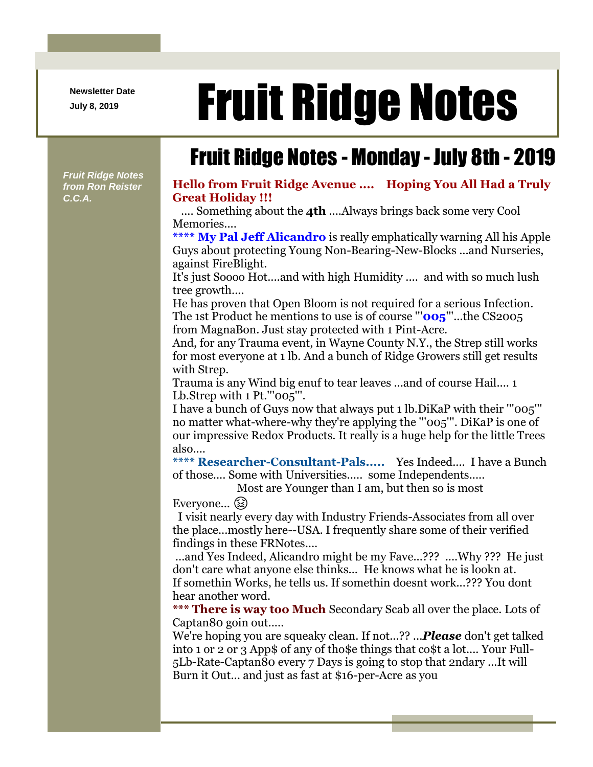**Newsletter Date**

## Newsletter Date **Fruit Ridge Notes**

Fruit Ridge Notes - Monday - July 8th - 2019

*Fruit Ridge Notes from Ron Reister C.C.A.*

## **Hello from Fruit Ridge Avenue .... Hoping You All Had a Truly Great Holiday !!!**

.... Something about the **4th** ....Always brings back some very Cool Memories....

**\*\*\*\* My Pal Jeff Alicandro** is really emphatically warning All his Apple Guys about protecting Young Non-Bearing-New-Blocks ...and Nurseries, against FireBlight.

It's just Soooo Hot....and with high Humidity .... and with so much lush tree growth....

He has proven that Open Bloom is not required for a serious Infection. The 1st Product he mentions to use is of course '''**005**'''...the CS2005 from MagnaBon. Just stay protected with 1 Pint-Acre.

And, for any Trauma event, in Wayne County N.Y., the Strep still works for most everyone at 1 lb. And a bunch of Ridge Growers still get results with Strep.

Trauma is any Wind big enuf to tear leaves ...and of course Hail.... 1 Lb.Strep with 1 Pt.'''005'''.

I have a bunch of Guys now that always put 1 lb.DiKaP with their '''005''' no matter what-where-why they're applying the '''005'''. DiKaP is one of our impressive Redox Products. It really is a huge help for the little Trees also....

**\*\*\*\* Researcher-Consultant-Pals.....** Yes Indeed.... I have a Bunch of those.... Some with Universities..... some Independents.....

Most are Younger than I am, but then so is most

Everyone... (a)

I visit nearly every day with Industry Friends-Associates from all over the place...mostly here--USA. I frequently share some of their verified findings in these FRNotes....

...and Yes Indeed, Alicandro might be my Fave...??? ....Why ??? He just don't care what anyone else thinks... He knows what he is lookn at. If somethin Works, he tells us. If somethin doesnt work...??? You dont hear another word.

**\*\*\* There is way too Much** Secondary Scab all over the place. Lots of Captan80 goin out.....

We're hoping you are squeaky clean. If not...?? ...*Please* don't get talked into 1 or 2 or 3 App\$ of any of tho\$e things that co\$t a lot.... Your Full-5Lb-Rate-Captan80 every 7 Days is going to stop that 2ndary ...It will Burn it Out... and just as fast at \$16-per-Acre as you